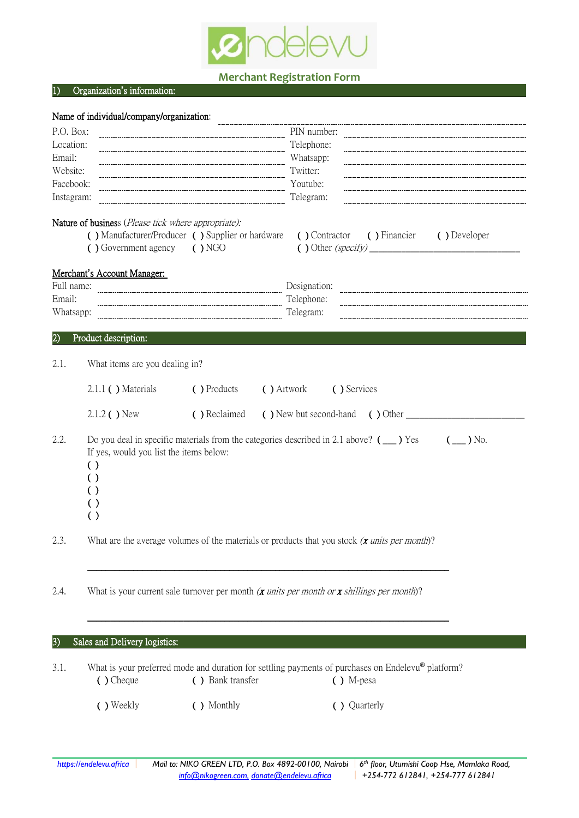

## **Merchant Registration Form**

## 1) Organization**'**s information:

|                     | Name of individual/company/organization:                                                                                                                                                                                                                      |                                                  |                                                                                                                           |  |  |  |  |
|---------------------|---------------------------------------------------------------------------------------------------------------------------------------------------------------------------------------------------------------------------------------------------------------|--------------------------------------------------|---------------------------------------------------------------------------------------------------------------------------|--|--|--|--|
| P.O. Box:           |                                                                                                                                                                                                                                                               |                                                  | PIN number:                                                                                                               |  |  |  |  |
| Location:           |                                                                                                                                                                                                                                                               |                                                  | Telephone:                                                                                                                |  |  |  |  |
| Email:<br>Website:  |                                                                                                                                                                                                                                                               |                                                  | Whatsapp:<br>Twitter:                                                                                                     |  |  |  |  |
| Facebook:           |                                                                                                                                                                                                                                                               |                                                  | Youtube:                                                                                                                  |  |  |  |  |
| Instagram:          | Telegram:                                                                                                                                                                                                                                                     |                                                  |                                                                                                                           |  |  |  |  |
|                     | Nature of business (Please tick where appropriate):<br>() Government agency () NGO                                                                                                                                                                            | () Manufacturer/Producer () Supplier or hardware | ( ) Contractor ( ) Financier<br>( ) Developer                                                                             |  |  |  |  |
|                     | Merchant's Account Manager:                                                                                                                                                                                                                                   |                                                  |                                                                                                                           |  |  |  |  |
| Full name:          |                                                                                                                                                                                                                                                               |                                                  | Designation:                                                                                                              |  |  |  |  |
| Email:<br>Whatsapp: |                                                                                                                                                                                                                                                               |                                                  | Telephone:<br>Telegram:                                                                                                   |  |  |  |  |
|                     |                                                                                                                                                                                                                                                               |                                                  |                                                                                                                           |  |  |  |  |
| $\overline{2}$      | Product description:                                                                                                                                                                                                                                          |                                                  |                                                                                                                           |  |  |  |  |
| 2.1.                | What items are you dealing in?                                                                                                                                                                                                                                |                                                  |                                                                                                                           |  |  |  |  |
|                     | $2.1.1$ ( ) Materials                                                                                                                                                                                                                                         | ( ) Products                                     | ( ) Artwork<br>( ) Services                                                                                               |  |  |  |  |
|                     | 2.1.2 ( ) New                                                                                                                                                                                                                                                 | ( ) Reclaimed                                    | $\left( \begin{array}{ccc} \end{array} \right)$ New but second-hand $\left( \begin{array}{ccc} \end{array} \right)$ Other |  |  |  |  |
| 2.2.                | Do you deal in specific materials from the categories described in 2.1 above? $($ $\angle$ $)$ Yes<br>$(\_\_\)$ No.<br>If yes, would you list the items below:<br>$\left( \ \right)$<br>( )<br>$\left( \ \right)$<br>$\left( \ \right)$<br>$\left( \ \right)$ |                                                  |                                                                                                                           |  |  |  |  |
| 2.3.                |                                                                                                                                                                                                                                                               |                                                  | What are the average volumes of the materials or products that you stock $(x \text{ units per month})$ ?                  |  |  |  |  |
| 2.4.                |                                                                                                                                                                                                                                                               |                                                  | What is your current sale turnover per month $(x \text{ units per month or } x \text{ shillings per month})$ ?            |  |  |  |  |
|                     |                                                                                                                                                                                                                                                               |                                                  |                                                                                                                           |  |  |  |  |
| 3)                  | Sales and Delivery logistics:                                                                                                                                                                                                                                 |                                                  |                                                                                                                           |  |  |  |  |
| 3.1.                | ( ) Cheque                                                                                                                                                                                                                                                    | ( ) Bank transfer                                | What is your preferred mode and duration for settling payments of purchases on Endelevu® platform?<br>$( )$ M-pesa        |  |  |  |  |
|                     | ( ) Weekly                                                                                                                                                                                                                                                    | ( ) Monthly                                      | ( ) Quarterly                                                                                                             |  |  |  |  |
|                     |                                                                                                                                                                                                                                                               |                                                  |                                                                                                                           |  |  |  |  |